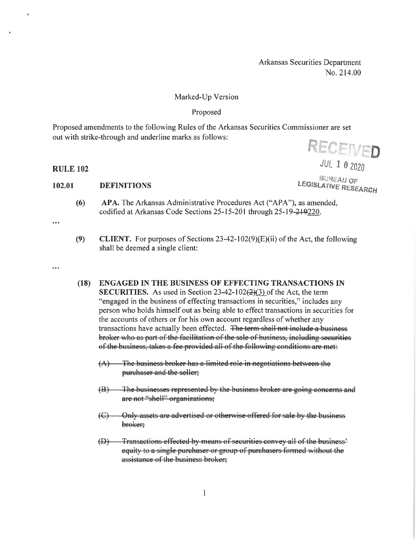Arkansas Securities Department No. 214.00

## Marked-Up Version

## Proposed

Proposed amendments to the following Rules of the Arkansas Securities Commissioner are set out with strike-through and underline marks as follows:

RECEIVED

**JUL 1 0 2020** 

**BUREAU OF LEGISLATIVE RESEARCH** 

# **RULE 102**

#### 102.01 **DEFINITIONS**

- APA. The Arkansas Administrative Procedures Act ("APA"), as amended,  $(6)$ codified at Arkansas Code Sections 25-15-201 through 25-19-219220.
- $\ddotsc$
- $(9)$ **CLIENT.** For purposes of Sections  $23-42-102(9)(E)(ii)$  of the Act, the following shall be deemed a single client:
- 

### **ENGAGED IN THE BUSINESS OF EFFECTING TRANSACTIONS IN**  $(18)$

- **SECURITIES.** As used in Section  $23-42-102(2)(3)$  of the Act, the term "engaged in the business of effecting transactions in securities," includes any person who holds himself out as being able to effect transactions in securities for the accounts of others or for his own account regardless of whether any transactions have actually been effected. The term shall not include a business broker who as part of the facilitation of the sale of business, including securities of the business, takes a fee provided all of the following conditions are met:
	- The business broker has a limited role in negotiations between the  $(A)$ purchaser and the seller;
	- The businesses represented by the business broker are going concerns and  $(B)$ are not "shell" organizations;
	- Only assets are advertised or otherwise offered for sale by the business  $\left( \bigoplus$ broker:
	- Transactions effected by means of securities convey all of the business<sup>2</sup>  $\bigoplus$ equity to a single purchaser or group of purchasers formed without the assistance of the business broker;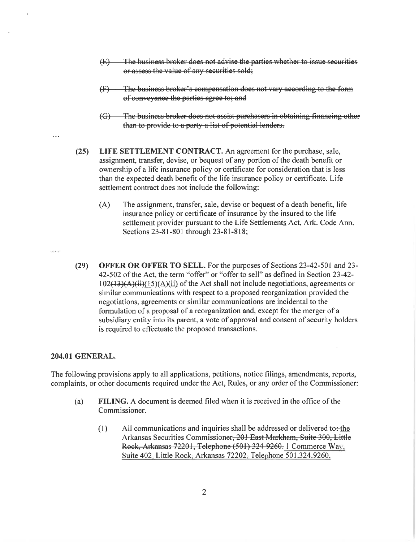- $(E)$ The business broker does not advise the parties whether to issue securities or assess the value of any securities sold;
- The business broker's compensation does not vary according to the form  $\oplus$ of conveyance the parties agree to; and
- $\left(\bigoplus\right)$ The business broker does not assist purchasers in obtaining financing other than to provide to a party a list of potential lenders.
- LIFE SETTLEMENT CONTRACT. An agreement for the purchase, sale,  $(25)$ assignment, transfer, devise, or bequest of any portion of the death benefit or ownership of a life insurance policy or certificate for consideration that is less than the expected death benefit of the life insurance policy or certificate. Life settlement contract does not include the following:
	- $(A)$ The assignment, transfer, sale, devise or bequest of a death benefit, life insurance policy or certificate of insurance by the insured to the life settlement provider pursuant to the Life Settlements Act, Ark. Code Ann. Sections 23-81-801 through 23-81-818;

 $(29)$ **OFFER OR OFFER TO SELL.** For the purposes of Sections 23-42-501 and 23-42-502 of the Act, the term "offer" or "offer to sell" as defined in Section 23-42- $102(13)(A)(ii)(15)(A)(ii)$  of the Act shall not include negotiations, agreements or similar communications with respect to a proposed reorganization provided the negotiations, agreements or similar communications are incidental to the formulation of a proposal of a reorganization and, except for the merger of a subsidiary entity into its parent, a vote of approval and consent of security holders is required to effectuate the proposed transactions.

### **204.01 GENERAL.**

The following provisions apply to all applications, petitions, notice filings, amendments, reports, complaints, or other documents required under the Act, Rules, or any order of the Commissioner:

- FILING. A document is deemed filed when it is received in the office of the  $(a)$ Commissioner.
	- $(1)$ All communications and inquiries shall be addressed or delivered to-the Arkansas Securities Commissioner, 201 East Markham, Suite 300, Little Rock, Arkansas 72201, Telephone (501) 324-9260. 1 Commerce Way. Suite 402. Little Rock. Arkansas 72202. Telephone 501.324.9260.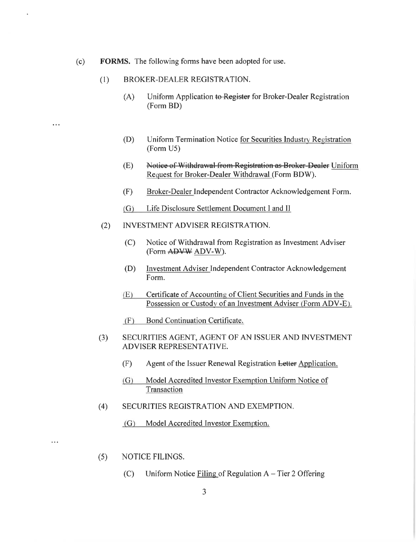- **FORMS.** The following forms have been adopted for use.  $(c)$ 
	- BROKER-DEALER REGISTRATION.  $(1)$

 $\ddotsc$ 

 $\ddotsc$ 

- Uniform Application to Register for Broker-Dealer Registration  $(A)$ (Form BD)
- $(D)$ Uniform Termination Notice for Securities Industry Registration (Form U5)
- $(E)$ Notice of Withdrawal from Registration as Broker-Dealer Uniform Request for Broker-Dealer Withdrawal (Form BDW).
- $(F)$ Broker-Dealer Independent Contractor Acknowledgement Form.
- $(G)$ Life Disclosure Settlement Document I and II
- $(2)$ **INVESTMENT ADVISER REGISTRATION.** 
	- Notice of Withdrawal from Registration as Investment Adviser  $(C)$ (Form ADVW ADV-W).
	- Investment Adviser Independent Contractor Acknowledgement (D) Form.
	- Certificate of Accounting of Client Securities and Funds in the  $(E)$ Possession or Custody of an Investment Adviser (Form ADV-E).
	- Bond Continuation Certificate.  $(F)$
- SECURITIES AGENT, AGENT OF AN ISSUER AND INVESTMENT  $(3)$ ADVISER REPRESENTATIVE.
	- $(F)$ Agent of the Issuer Renewal Registration Letter Application.
	- Model Accredited Investor Exemption Uniform Notice of  $(G)$ Transaction
- $(4)$ SECURITIES REGISTRATION AND EXEMPTION.
	- (G) Model Accredited Investor Exemption.
- NOTICE FILINGS.  $(5)$ 
	- Uniform Notice Filing of Regulation A Tier 2 Offering  $(C)$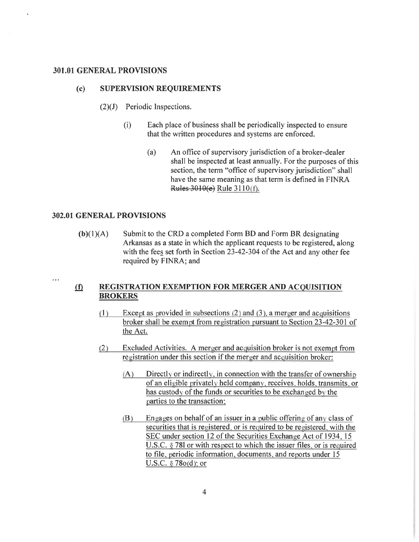## **301.01 GENERAL PROVISIONS**

#### **SUPERVISION REQUIREMENTS**  $(c)$

- $(2)(J)$  Periodic Inspections.
	- $(i)$ Each place of business shall be periodically inspected to ensure that the written procedures and systems are enforced.
		- $(a)$ An office of supervisory jurisdiction of a broker-dealer shall be inspected at least annually. For the purposes of this section, the term "office of supervisory jurisdiction" shall have the same meaning as that term is defined in FINRA Rules 3010(e) Rule 3110(f).

## 302.01 GENERAL PROVISIONS

 $\sim$   $\sim$ 

 $(b)(1)(A)$ Submit to the CRD a completed Form BD and Form BR designating Arkansas as a state in which the applicant requests to be registered, along with the fees set forth in Section 23-42-304 of the Act and any other fee required by FINRA; and

### REGISTRATION EXEMPTION FOR MERGER AND ACQUISITION  $\Omega$ **BROKERS**

- $(1)$ Except as provided in subsections  $(2)$  and  $(3)$ , a merger and acquisitions broker shall be exempt from registration pursuant to Section 23-42-301 of the Act.
- Excluded Activities. A merger and acquisition broker is not exempt from  $(2)$ registration under this section if the merger and acquisition broker:
	- Directly or indirectly, in connection with the transfer of ownership  $(A)$ of an eligible privately held company, receives, holds, transmits, or has custody of the funds or securities to be exchanged by the parties to the transaction:
	- Engages on behalf of an issuer in a public offering of any class of  $(B)$ securities that is registered, or is required to be registered, with the SEC under section 12 of the Securities Exchange Act of 1934, 15 U.S.C. § 781 or with respect to which the issuer files, or is required to file, periodic information, documents, and reports under 15 U.S.C. § 78o(d); or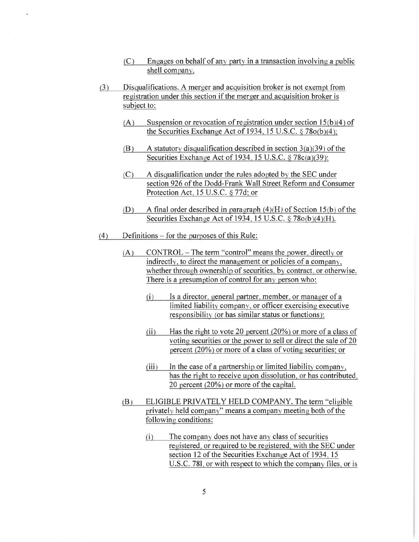- Engages on behalf of any party in a transaction involving a public  $(C)$ shell company.
- Disqualifications. A merger and acquisition broker is not exempt from  $(3)$ registration under this section if the merger and acquisition broker is subject to:
	- Suspension or revocation of registration under section  $15(b)(4)$  of  $(A)$ the Securities Exchange Act of 1934, 15 U.S.C. § 78o(b)(4):
	- A statutory disqualification described in section  $3(a)(39)$  of the (B) Securities Exchange Act of 1934, 15 U.S.C. § 78c(a)(39);
	- A disqualification under the rules adopted by the SEC under  $(C)$ section 926 of the Dodd-Frank Wall Street Reform and Consumer Protection Act, 15 U.S.C. § 77d; or
	- A final order described in paragraph  $(4)(H)$  of Section 15(b) of the  $(D)$ Securities Exchange Act of 1934, 15 U.S.C. § 78o(b)(4)(H).
- Definitions  $-$  for the purposes of this Rule:  $(4)$ 
	- CONTROL The term "control" means the power, directly or  $(A)$ indirectly, to direct the management or policies of a company. whether through ownership of securities, by contract, or otherwise. There is a presumption of control for any person who:
		- $(i)$ Is a director, general partner, member, or manager of a limited liability company, or officer exercising executive responsibility (or has similar status or functions):
		- Has the right to vote 20 percent  $(20\%)$  or more of a class of  $(ii)$ voting securities or the power to sell or direct the sale of 20 percent (20%) or more of a class of voting securities; or
		- $(iii)$ In the case of a partnership or limited liability company. has the right to receive upon dissolution, or has contributed. 20 percent (20%) or more of the capital.
	- ELIGIBLE PRIVATELY HELD COMPANY. The term "eligible"  $(B)$ privately held company" means a company meeting both of the following conditions:
		- The company does not have any class of securities  $(i)$ registered, or required to be registered, with the SEC under section 12 of the Securities Exchange Act of 1934, 15 U.S.C. 781, or with respect to which the company files, or is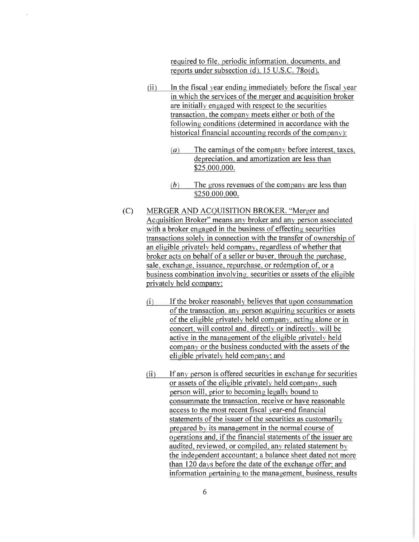required to file, periodic information, documents, and reports under subsection (d), 15 U.S.C. 78o(d).

- $(ii)$ In the fiscal year ending immediately before the fiscal year in which the services of the merger and acquisition broker are initially engaged with respect to the securities transaction, the company meets either or both of the following conditions (determined in accordance with the historical financial accounting records of the company):
	- The earnings of the company before interest, taxes,  $(a)$ depreciation, and amortization are less than \$25,000,000.
	- $(b)$ The gross revenues of the company are less than \$250,000,000.
- $(C)$ MERGER AND ACQUISITION BROKER. "Merger and Acquisition Broker" means any broker and any person associated with a broker engaged in the business of effecting securities transactions solely in connection with the transfer of ownership of an eligible privately held company, regardless of whether that broker acts on behalf of a seller or buyer, through the purchase, sale, exchange, issuance, repurchase, or redemption of, or a business combination involving, securities or assets of the eligible privately held company:
	- If the broker reasonably believes that upon consummation  $(i)$ of the transaction, any person acquiring securities or assets of the eligible privately held company, acting alone or in concert, will control and, directly or indirectly, will be active in the management of the eligible privately held company or the business conducted with the assets of the eligible privately held company; and
	- If any person is offered securities in exchange for securities  $(ii)$ or assets of the eligible privately held company, such person will, prior to becoming legally bound to consummate the transaction, receive or have reasonable access to the most recent fiscal year-end financial statements of the issuer of the securities as customarily prepared by its management in the normal course of operations and, if the financial statements of the issuer are audited, reviewed, or compiled, any related statement by the independent accountant; a balance sheet dated not more than 120 days before the date of the exchange offer: and information pertaining to the management, business, results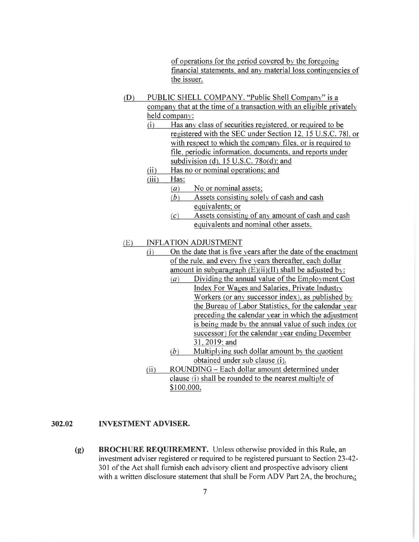of operations for the period covered by the foregoing financial statements, and any material loss contingencies of the issuer.

- PUBLIC SHELL COMPANY. "Public Shell Company" is a  $(D)$ company that at the time of a transaction with an eligible privately held company:
	- Has any class of securities registered, or required to be  $(i)$ registered with the SEC under Section 12, 15 U.S.C. 781, or with respect to which the company files, or is required to file, periodic information, documents, and reports under subdivision (d),  $15$  U.S.C. 78 $o(d)$ ; and
	- Has no or nominal operations; and  $(ii)$
	- $(iii)$ Has:
		- $(a)$ No or nominal assets;
		- Assets consisting solely of cash and cash  $(b)$ equivalents: or
		- Assets consisting of any amount of cash and cash  $(c)$ equivalents and nominal other assets.

#### **INFLATION ADJUSTMENT**  $(E)$

- $(i)$ On the date that is five years after the date of the enactment of the rule, and every five years thereafter, each dollar amount in subparagraph  $(E)(ii)(II)$  shall be adjusted by:
	- Dividing the annual value of the Employment Cost  $(a)$ Index For Wages and Salaries, Private Industry Workers (or any successor index), as published by the Bureau of Labor Statistics, for the calendar year preceding the calendar year in which the adjustment is being made by the annual value of such index (or successor) for the calendar year ending December 31, 2019; and
	- $(b)$  Multiplying such dollar amount by the quotient obtained under sub clause (i).
- ROUNDING Each dollar amount determined under  $(ii)$ clause (i) shall be rounded to the nearest multiple of \$100,000.

#### 302.02 **INVESTMENT ADVISER.**

**BROCHURE REQUIREMENT.** Unless otherwise provided in this Rule, an  $(g)$ investment adviser registered or required to be registered pursuant to Section 23-42-301 of the Act shall furnish each advisory client and prospective advisory client with a written disclosure statement that shall be Form ADV Part 2A, the brochure;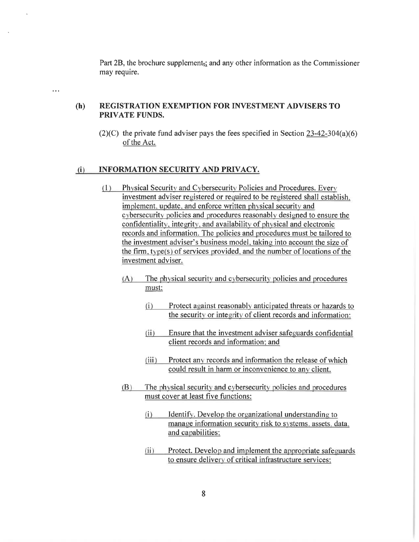Part 2B, the brochure supplement<sub> $\overline{x}$ </sub> and any other information as the Commissioner may require.

 $\sim$   $\sim$ 

### REGISTRATION EXEMPTION FOR INVESTMENT ADVISERS TO  $(h)$ **PRIVATE FUNDS.**

 $(2)(C)$  the private fund adviser pays the fees specified in Section 23-42-304(a)(6) of the Act.

#### INFORMATION SECURITY AND PRIVACY.  $(i)$

- Physical Security and Cybersecurity Policies and Procedures. Every  $(1)$ investment adviser registered or required to be registered shall establish. implement, update, and enforce written physical security and cybersecurity policies and procedures reasonably designed to ensure the confidentiality, integrity, and availability of physical and electronic records and information. The policies and procedures must be tailored to the investment adviser's business model, taking into account the size of the firm, type(s) of services provided, and the number of locations of the investment adviser.
	- $(A)$ The physical security and cybersecurity policies and procedures must:
		- $(i)$ Protect against reasonably anticipated threats or hazards to the security or integrity of client records and information:
		- $(ii)$ Ensure that the investment adviser safeguards confidential client records and information: and
		- Protect any records and information the release of which  $(iii)$ could result in harm or inconvenience to any client.
	- $(B)$ The physical security and cybersecurity policies and procedures must cover at least five functions:
		- Identify. Develop the organizational understanding to  $(i)$ manage information security risk to systems, assets, data. and capabilities:
		- Protect. Develop and implement the appropriate safeguards  $(ii)$ to ensure delivery of critical infrastructure services: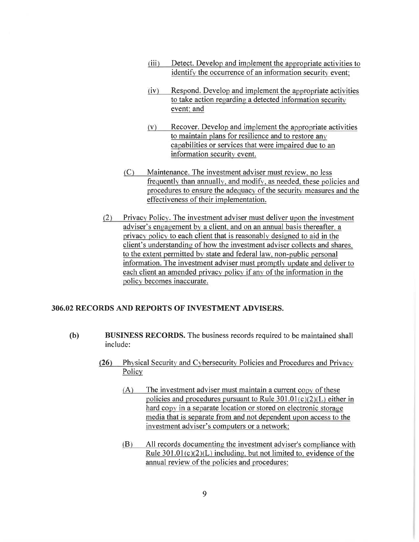- $(iii)$ Detect. Develop and implement the appropriate activities to identify the occurrence of an information security event:
- $(iv)$ Respond. Develop and implement the appropriate activities to take action regarding a detected information security event: and
- Recover. Develop and implement the appropriate activities  $(V)$ to maintain plans for resilience and to restore any capabilities or services that were impaired due to an information security event.
- Maintenance. The investment adviser must review, no less  $(C)$ frequently than annually, and modify, as needed, these policies and procedures to ensure the adequacy of the security measures and the effectiveness of their implementation.
- $(2)$ Privacy Policy. The investment adviser must deliver upon the investment adviser's engagement by a client, and on an annual basis thereafter, a privacy policy to each client that is reasonably designed to aid in the client's understanding of how the investment adviser collects and shares. to the extent permitted by state and federal law, non-public personal information. The investment adviser must promptly update and deliver to each client an amended privacy policy if any of the information in the policy becomes inaccurate.

# 306.02 RECORDS AND REPORTS OF INVESTMENT ADVISERS.

- $(b)$ **BUSINESS RECORDS.** The business records required to be maintained shall include:
	- $(26)$ Physical Security and Cybersecurity Policies and Procedures and Privacy Policy
		- $(A)$ The investment adviser must maintain a current copy of these policies and procedures pursuant to Rule  $301.01(c)(2)(L)$  either in hard copy in a separate location or stored on electronic storage media that is separate from and not dependent upon access to the investment adviser's computers or a network:
		- $(B)$ All records documenting the investment adviser's compliance with Rule  $301.01(c)(2)(L)$  including, but not limited to, evidence of the annual review of the policies and procedures: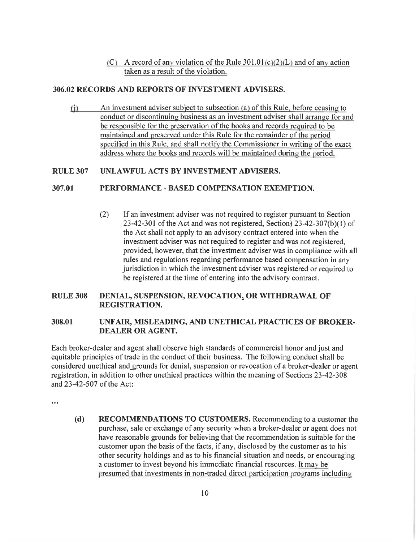(C) A record of any violation of the Rule  $301.01(c)(2)(L)$  and of any action taken as a result of the violation.

## 306.02 RECORDS AND REPORTS OF INVESTMENT ADVISERS.

An investment adviser subject to subsection (a) of this Rule, before ceasing to  $\left( i\right)$ conduct or discontinuing business as an investment adviser shall arrange for and be responsible for the preservation of the books and records required to be maintained and preserved under this Rule for the remainder of the period specified in this Rule, and shall notify the Commissioner in writing of the exact address where the books and records will be maintained during the period.

#### **IINLAWFUL ACTS BY INVESTMENT ADVISERS. RULE 307**

#### 307.01 PERFORMANCE - BASED COMPENSATION EXEMPTION.

 $(2)$ If an investment adviser was not required to register pursuant to Section 23-42-301 of the Act and was not registered, Section  $23-42-307(b)(1)$  of the Act shall not apply to an advisory contract entered into when the investment adviser was not required to register and was not registered. provided, however, that the investment adviser was in compliance with all rules and regulations regarding performance based compensation in any jurisdiction in which the investment adviser was registered or required to be registered at the time of entering into the advisory contract.

### DENIAL, SUSPENSION, REVOCATION, OR WITHDRAWAL OF **RULE 308 REGISTRATION.**

### 308.01 UNFAIR, MISLEADING, AND UNETHICAL PRACTICES OF BROKER-**DEALER OR AGENT.**

Each broker-dealer and agent shall observe high standards of commercial honor and just and equitable principles of trade in the conduct of their business. The following conduct shall be considered unethical and grounds for denial, suspension or revocation of a broker-dealer or agent registration, in addition to other unethical practices within the meaning of Sections 23-42-308 and 23-42-507 of the Act:

 $\ddot{\phantom{a}}$ 

**RECOMMENDATIONS TO CUSTOMERS.** Recommending to a customer the  $(d)$ purchase, sale or exchange of any security when a broker-dealer or agent does not have reasonable grounds for believing that the recommendation is suitable for the customer upon the basis of the facts, if any, disclosed by the customer as to his other security holdings and as to his financial situation and needs, or encouraging a customer to invest beyond his immediate financial resources. It may be presumed that investments in non-traded direct participation programs including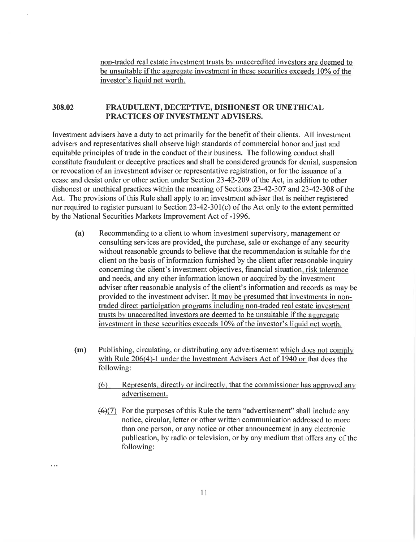non-traded real estate investment trusts by unaccredited investors are deemed to be unsuitable if the aggregate investment in these securities exceeds 10% of the investor's liquid net worth.

### 308.02 FRAUDULENT, DECEPTIVE, DISHONEST OR UNETHICAL PRACTICES OF INVESTMENT ADVISERS.

Investment advisers have a duty to act primarily for the benefit of their clients. All investment advisers and representatives shall observe high standards of commercial honor and just and equitable principles of trade in the conduct of their business. The following conduct shall constitute fraudulent or deceptive practices and shall be considered grounds for denial, suspension or revocation of an investment adviser or representative registration, or for the issuance of a cease and desist order or other action under Section 23-42-209 of the Act, in addition to other dishonest or unethical practices within the meaning of Sections 23-42-307 and 23-42-308 of the Act. The provisions of this Rule shall apply to an investment adviser that is neither registered nor required to register pursuant to Section 23-42-301(c) of the Act only to the extent permitted by the National Securities Markets Improvement Act of -1996.

- Recommending to a client to whom investment supervisory, management or  $(a)$ consulting services are provided, the purchase, sale or exchange of any security without reasonable grounds to believe that the recommendation is suitable for the client on the basis of information furnished by the client after reasonable inquiry concerning the client's investment objectives, financial situation, risk tolerance and needs, and any other information known or acquired by the investment adviser after reasonable analysis of the client's information and records as may be provided to the investment adviser. It may be presumed that investments in nontraded direct participation programs including non-traded real estate investment trusts by unaccredited investors are deemed to be unsuitable if the aggregate investment in these securities exceeds 10% of the investor's liquid net worth.
- Publishing, circulating, or distributing any advertisement which does not comply  $(m)$ with Rule 206(4)-1 under the Investment Advisers Act of 1940 or that does the following:
	- Represents, directly or indirectly, that the commissioner has approved any  $(6)$ advertisement.
	- $(6)(7)$  For the purposes of this Rule the term "advertisement" shall include any notice, circular, letter or other written communication addressed to more than one person, or any notice or other announcement in any electronic publication, by radio or television, or by any medium that offers any of the following: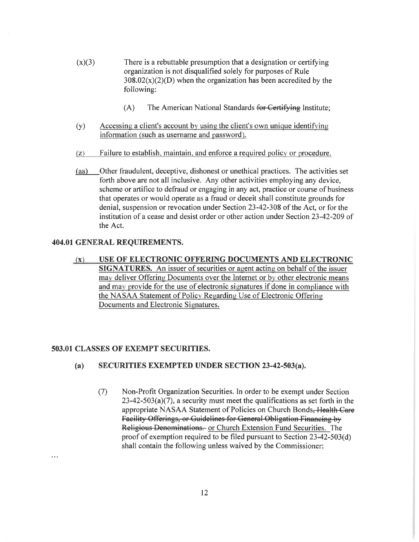- $(x)(3)$ There is a rebuttable presumption that a designation or certifying organization is not disqualified solely for purposes of Rule  $308.02(x)(2)(D)$  when the organization has been accredited by the following:
	- $(A)$ The American National Standards for Certifying Institute;
- Accessing a client's account by using the client's own unique identifying  $(y)$ information (such as username and password).
- Failure to establish, maintain, and enforce a required policy or procedure.  $(Z)$
- Other fraudulent, deceptive, dishonest or unethical practices. The activities set  $(aa)$ forth above are not all inclusive. Any other activities employing any device, scheme or artifice to defraud or engaging in any act, practice or course of business that operates or would operate as a fraud or deceit shall constitute grounds for denial, suspension or revocation under Section 23-42-308 of the Act, or for the institution of a cease and desist order or other action under Section 23-42-209 of the Act.

# 404.01 GENERAL REQUIREMENTS.

 $(x)$ USE OF ELECTRONIC OFFERING DOCUMENTS AND ELECTRONIC **SIGNATURES.** An issuer of securities or agent acting on behalf of the issuer may deliver Offering Documents over the Internet or by other electronic means and may provide for the use of electronic signatures if done in compliance with the NASAA Statement of Policy Regarding Use of Electronic Offering Documents and Electronic Signatures.

# 503.01 CLASSES OF EXEMPT SECURITIES.

 $\cdots$ 

- SECURITIES EXEMPTED UNDER SECTION 23-42-503(a).  $(a)$ 
	- $(7)$ Non-Profit Organization Securities. In order to be exempt under Section  $23-42-503(a)(7)$ , a security must meet the qualifications as set forth in the appropriate NASAA Statement of Policies on Church Bonds, Health Care Facility Offerings, or Guidelines for General Obligation Financing by Religious Denominations. or Church Extension Fund Securities. The proof of exemption required to be filed pursuant to Section 23-42-503(d) shall contain the following unless waived by the Commissioner: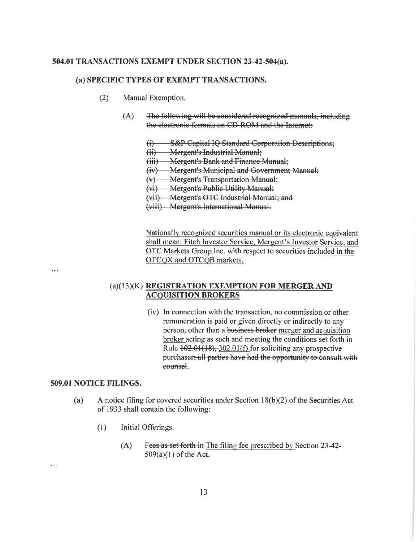# 504.01 TRANSACTIONS EXEMPT UNDER SECTION 23-42-504(a).

## (a) SPECIFIC TYPES OF EXEMPT TRANSACTIONS.

- $(2)$ Manual Exemption.
	- $(A)$ The following will be considered recognized manuals, including the electronic formats on CD ROM and the Internet:
		- **S&P Capital IQ Standard Corporation Descriptions:**  $\oplus$
		- **Mergent's Industrial Manual:**  $\overline{\rm (ii)}$
		- (iii) Mergent's Bank and Finance Manual;
		- (iv) Mergent's Municipal and Government Manual;
		- (v) Mergent's Transportation Manual;
		- (vi) Mergent's Public Utility Manual;
		- (vii) Mergent's OTC Industrial Manual; and

(viii) Mergent's International Manual.

Nationally recognized securities manual or its electronic equivalent shall mean: Fitch Investor Service, Mergent's Investor Service, and OTC Markets Group Inc. with respect to securities included in the OTCQX and OTCQB markets.

...

. . .

# (a)(13)(K) REGISTRATION EXEMPTION FOR MERGER AND **ACQUISITION BROKERS**

(iv) In connection with the transaction, no commission or other remuneration is paid or given directly or indirectly to any person, other than a business-broker merger and acquisition broker acting as such and meeting the conditions set forth in Rule  $+02.01(18)$ ,  $302.01(f)$  for soliciting any prospective purchaser; all parties have had the opportunity to consult with counsel.

# 509.01 NOTICE FILINGS.

- A notice filing for covered securities under Section  $18(b)(2)$  of the Securities Act  $(a)$ of 1933 shall contain the following:
	- $(1)$ Initial Offerings.
		- Fees as set forth in The filing fee prescribed by Section 23-42- $(A)$  $509(a)(1)$  of the Act.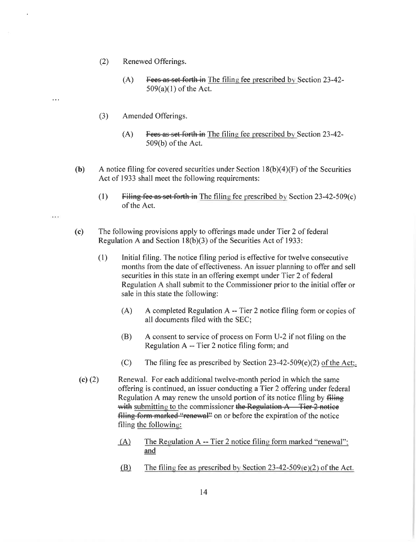- $(2)$ Renewed Offerings.
	- Fees as set forth in The filing fee prescribed by Section 23-42- $(A)$  $509(a)(1)$  of the Act.
- $(3)$ Amended Offerings.

 $\ddotsc$ 

 $\ddotsc$ 

- $(A)$ Fees as set forth in The filing fee prescribed by Section 23-42-509(b) of the Act.
- A notice filing for covered securities under Section  $18(b)(4)(F)$  of the Securities  $(b)$ Act of 1933 shall meet the following requirements:
	- $(1)$ Filing fee as set forth in The filing fee prescribed by Section  $23-42-509(c)$ of the Act.
- $(c)$ The following provisions apply to offerings made under Tier 2 of federal Regulation A and Section  $18(b)(3)$  of the Securities Act of 1933:
	- Initial filing. The notice filing period is effective for twelve consecutive  $(1)$ months from the date of effectiveness. An issuer planning to offer and sell securities in this state in an offering exempt under Tier 2 of federal Regulation A shall submit to the Commissioner prior to the initial offer or sale in this state the following:
		- A completed Regulation A -- Tier 2 notice filing form or copies of  $(A)$ all documents filed with the SEC;
		- A consent to service of process on Form U-2 if not filing on the (B) Regulation A -- Tier 2 notice filing form; and
		- $(C)$ The filing fee as prescribed by Section 23-42-509(e)(2) of the Act;.
- (c)  $(2)$ Renewal. For each additional twelve-month period in which the same offering is continued, an issuer conducting a Tier 2 offering under federal Regulation A may renew the unsold portion of its notice filing by filing with submitting to the commissioner the Regulation  $A$  Tier 2 notice filing form marked "renewal" on or before the expiration of the notice filing the following:
	- The Regulation A -- Tier 2 notice filing form marked "renewal";  $(A)$ and
	- (B) The filing fee as prescribed by Section  $23-42-509(e)(2)$  of the Act.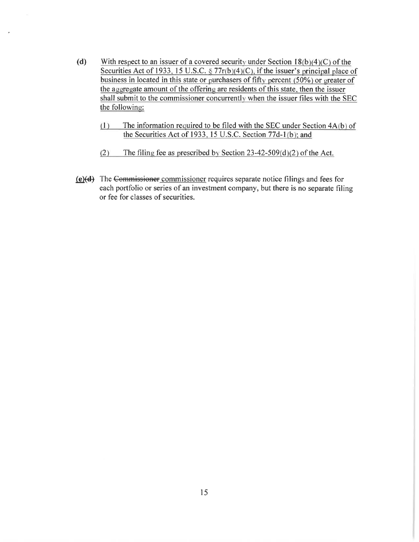- $(d)$ With respect to an issuer of a covered security under Section  $18(b)(4)(C)$  of the Securities Act of 1933, 15 U.S.C. § 77 $r(b)(4)(C)$ , if the issuer's principal place of business in located in this state or purchasers of fifty percent (50%) or greater of the aggregate amount of the offering are residents of this state, then the issuer shall submit to the commissioner concurrently when the issuer files with the SEC the following:
	- The information required to be filed with the SEC under Section 4A(b) of  $(1)$ the Securities Act of 1933, 15 U.S.C. Section 77d-1(b); and
	- The filing fee as prescribed by Section  $23-42-509(d)(2)$  of the Act.  $(2)$
- (e)(d) The Commissioner commissioner requires separate notice filings and fees for each portfolio or series of an investment company, but there is no separate filing or fee for classes of securities.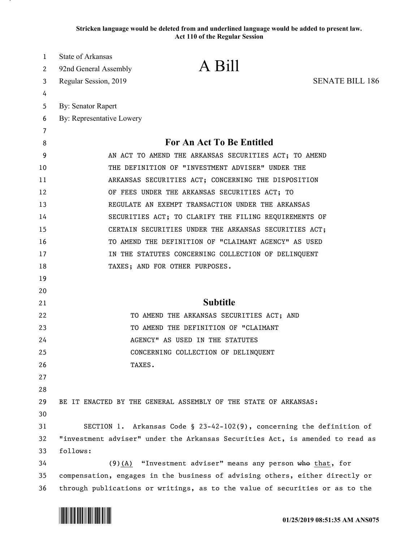**Stricken language would be deleted from and underlined language would be added to present law. Act 110 of the Regular Session**

| 1  | <b>State of Arkansas</b>                                                      |
|----|-------------------------------------------------------------------------------|
| 2  | A Bill<br>92nd General Assembly                                               |
| 3  | Regular Session, 2019<br><b>SENATE BILL 186</b>                               |
| 4  |                                                                               |
| 5  | <b>By: Senator Rapert</b>                                                     |
| 6  | By: Representative Lowery                                                     |
| 7  |                                                                               |
| 8  | For An Act To Be Entitled                                                     |
| 9  | AN ACT TO AMEND THE ARKANSAS SECURITIES ACT; TO AMEND                         |
| 10 | THE DEFINITION OF "INVESTMENT ADVISER" UNDER THE                              |
| 11 | ARKANSAS SECURITIES ACT; CONCERNING THE DISPOSITION                           |
| 12 | OF FEES UNDER THE ARKANSAS SECURITIES ACT; TO                                 |
| 13 | REGULATE AN EXEMPT TRANSACTION UNDER THE ARKANSAS                             |
| 14 | SECURITIES ACT; TO CLARIFY THE FILING REQUIREMENTS OF                         |
| 15 | CERTAIN SECURITIES UNDER THE ARKANSAS SECURITIES ACT;                         |
| 16 | TO AMEND THE DEFINITION OF "CLAIMANT AGENCY" AS USED                          |
| 17 | IN THE STATUTES CONCERNING COLLECTION OF DELINQUENT                           |
| 18 | TAXES; AND FOR OTHER PURPOSES.                                                |
| 19 |                                                                               |
| 20 |                                                                               |
| 21 | <b>Subtitle</b>                                                               |
| 22 | TO AMEND THE ARKANSAS SECURITIES ACT; AND                                     |
| 23 | TO AMEND THE DEFINITION OF "CLAIMANT                                          |
| 24 | AGENCY" AS USED IN THE STATUTES                                               |
| 25 | CONCERNING COLLECTION OF DELINQUENT                                           |
| 26 | TAXES.                                                                        |
| 27 |                                                                               |
| 28 |                                                                               |
| 29 | BE IT ENACTED BY THE GENERAL ASSEMBLY OF THE STATE OF ARKANSAS:               |
| 30 |                                                                               |
| 31 | SECTION 1. Arkansas Code § 23-42-102(9), concerning the definition of         |
| 32 | "investment adviser" under the Arkansas Securities Act, is amended to read as |
| 33 | follows:                                                                      |
| 34 | $(9)$ (A) "Investment adviser" means any person who that, for                 |
| 35 | compensation, engages in the business of advising others, either directly or  |
| 36 | through publications or writings, as to the value of securities or as to the  |

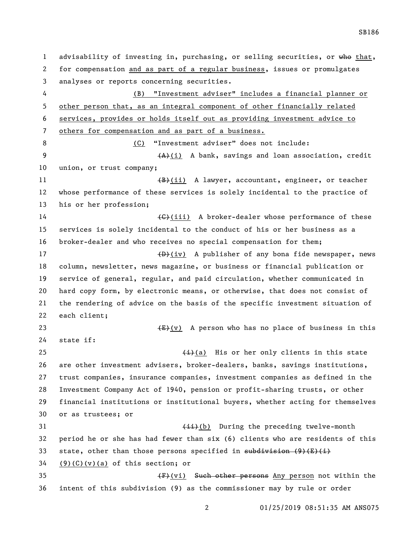SB186

 analyses or reports concerning securities. (B) "Investment adviser" includes a financial planner or other person that, as an integral component of other financially related services, provides or holds itself out as providing investment advice to others for compensation and as part of a business. (C) "Investment adviser" does not include: 9 (A)(i) A bank, savings and loan association, credit union, or trust company; 11 (B)(ii) A lawyer, accountant, engineer, or teacher whose performance of these services is solely incidental to the practice of his or her profession; 14 (G)(iii) A broker-dealer whose performance of these services is solely incidental to the conduct of his or her business as a broker-dealer and who receives no special compensation for them; 17 (D)(iv) A publisher of any bona fide newspaper, news column, newsletter, news magazine, or business or financial publication or service of general, regular, and paid circulation, whether communicated in hard copy form, by electronic means, or otherwise, that does not consist of the rendering of advice on the basis of the specific investment situation of each client;  $\leftarrow$   $\leftarrow$   $\leftarrow$   $\leftarrow$   $\leftarrow$   $\leftarrow$   $\leftarrow$   $\leftarrow$   $\leftarrow$   $\leftarrow$   $\leftarrow$   $\leftarrow$   $\leftarrow$   $\leftarrow$   $\leftarrow$   $\leftarrow$   $\leftarrow$   $\leftarrow$   $\leftarrow$   $\leftarrow$   $\leftarrow$   $\leftarrow$   $\leftarrow$   $\leftarrow$   $\leftarrow$   $\leftarrow$   $\leftarrow$   $\leftarrow$   $\leftarrow$   $\leftarrow$   $\leftarrow$   $\leftarrow$   $\leftarrow$   $\leftarrow$   $\leftarrow$   $\leftarrow$   $\$  state if:  $\leftarrow$  (i)(a) His or her only clients in this state are other investment advisers, broker-dealers, banks, savings institutions, trust companies, insurance companies, investment companies as defined in the Investment Company Act of 1940, pension or profit-sharing trusts, or other financial institutions or institutional buyers, whether acting for themselves or as trustees; or 31 (ii)(b) During the preceding twelve-month period he or she has had fewer than six (6) clients who are residents of this 33 state, other than those persons specified in subdivision  $(9)$   $(E)$   $(i)$  (9)(C)(v)(a) of this section; or **(F)(vi)** Such other persons Any person not within the intent of this subdivision (9) as the commissioner may by rule or order

01/25/2019 08:51:35 AM ANS075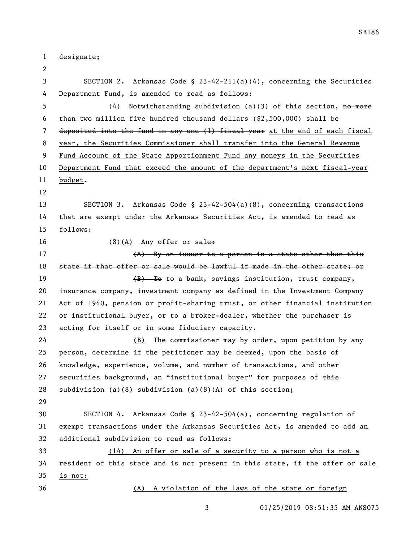designate; SECTION 2. Arkansas Code § 23-42-211(a)(4), concerning the Securities Department Fund, is amended to read as follows: 5 (4) Notwithstanding subdivision (a)(3) of this section, no more than two million five hundred thousand dollars (\$2,500,000) shall be 7 deposited into the fund in any one (1) fiscal year at the end of each fiscal year, the Securities Commissioner shall transfer into the General Revenue Fund Account of the State Apportionment Fund any moneys in the Securities Department Fund that exceed the amount of the department's next fiscal-year budget. SECTION 3. Arkansas Code § 23-42-504(a)(8), concerning transactions that are exempt under the Arkansas Securities Act, is amended to read as follows: 16 (8)(A) Any offer or sale. 17 (A) By an issuer to a person in a state other than this 18 state if that offer or sale would be lawful if made in the other state; or 19 (B) To to a bank, savings institution, trust company, insurance company, investment company as defined in the Investment Company Act of 1940, pension or profit-sharing trust, or other financial institution or institutional buyer, or to a broker-dealer, whether the purchaser is acting for itself or in some fiduciary capacity. (B) The commissioner may by order, upon petition by any person, determine if the petitioner may be deemed, upon the basis of knowledge, experience, volume, and number of transactions, and other 27 securities background, an "institutional buyer" for purposes of  $\frac{1}{2}$ 28 subdivision  $(a)(8)$  subdivision  $(a)(8)(A)$  of this section; SECTION 4. Arkansas Code § 23-42-504(a), concerning regulation of exempt transactions under the Arkansas Securities Act, is amended to add an additional subdivision to read as follows: (14) An offer or sale of a security to a person who is not a resident of this state and is not present in this state, if the offer or sale is not: (A) A violation of the laws of the state or foreign

01/25/2019 08:51:35 AM ANS075

SB186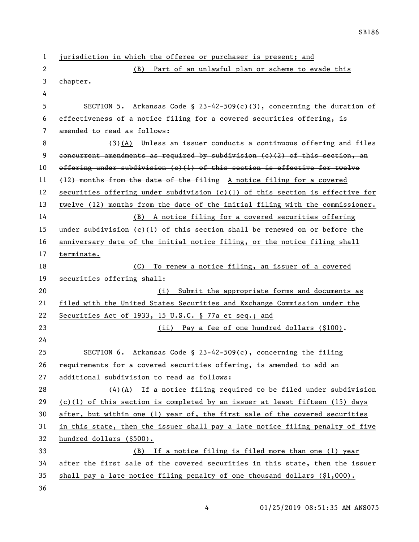| $\mathbf{1}$ | jurisdiction in which the offeree or purchaser is present; and                 |
|--------------|--------------------------------------------------------------------------------|
| 2            | Part of an unlawful plan or scheme to evade this<br>(B)                        |
| 3            | chapter.                                                                       |
| 4            |                                                                                |
| 5            | SECTION 5. Arkansas Code § 23-42-509(c)(3), concerning the duration of         |
| 6            | effectiveness of a notice filing for a covered securities offering, is         |
| 7            | amended to read as follows:                                                    |
| 8            | (3)(A) Unless an issuer conducts a continuous offering and files               |
| 9            | concurrent amendments as required by subdivision $(c)$ (2) of this section, an |
| 10           | offering under subdivision (c)(1) of this section is effective for twelve      |
| 11           | (12) months from the date of the filing A notice filing for a covered          |
| 12           | securities offering under subdivision (c)(1) of this section is effective for  |
| 13           | twelve (12) months from the date of the initial filing with the commissioner.  |
| 14           | (B) A notice filing for a covered securities offering                          |
| 15           | under subdivision (c)(1) of this section shall be renewed on or before the     |
| 16           | anniversary date of the initial notice filing, or the notice filing shall      |
| 17           | terminate.                                                                     |
| 18           | To renew a notice filing, an issuer of a covered<br>(C)                        |
| 19           | securities offering shall:                                                     |
| 20           | Submit the appropriate forms and documents as<br>(i)                           |
| 21           | filed with the United States Securities and Exchange Commission under the      |
| 22           | Securities Act of 1933, 15 U.S.C. § 77a et seq.; and                           |
| 23           | (ii) Pay a fee of one hundred dollars (\$100).                                 |
| 24           |                                                                                |
| 25           | SECTION 6. Arkansas Code § 23-42-509(c), concerning the filing                 |
| 26           | requirements for a covered securities offering, is amended to add an           |
| 27           | additional subdivision to read as follows:                                     |
| 28           | $(4)(A)$ If a notice filing required to be filed under subdivision             |
| 29           | (c)(1) of this section is completed by an issuer at least fifteen (15) days    |
| 30           | after, but within one (1) year of, the first sale of the covered securities    |
| 31           | in this state, then the issuer shall pay a late notice filing penalty of five  |
| 32           | hundred dollars (\$500).                                                       |
| 33           | (B) If a notice filing is filed more than one (1) year                         |
| 34           | after the first sale of the covered securities in this state, then the issuer  |
| 35           | shall pay a late notice filing penalty of one thousand dollars $(\$1,000)$ .   |
| 36           |                                                                                |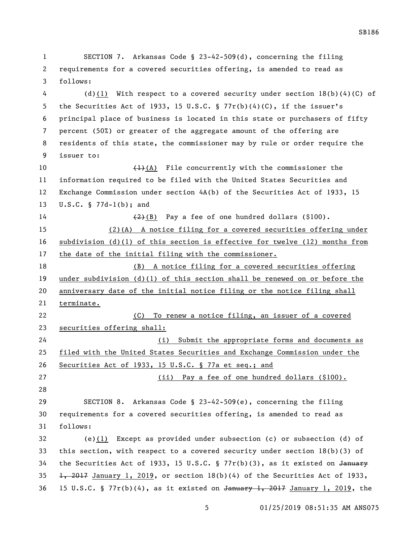SECTION 7. Arkansas Code § 23-42-509(d), concerning the filing requirements for a covered securities offering, is amended to read as follows: (d)(1) With respect to a covered security under section 18(b)(4)(C) of the Securities Act of 1933, 15 U.S.C. § 77r(b)(4)(C), if the issuer's principal place of business is located in this state or purchasers of fifty percent (50%) or greater of the aggregate amount of the offering are residents of this state, the commissioner may by rule or order require the issuer to:  $\left(1\right)$ (A) File concurrently with the commissioner the information required to be filed with the United States Securities and Exchange Commission under section 4A(b) of the Securities Act of 1933, 15 U.S.C. § 77d-1(b); and  $\left(\frac{2}{2}\right)$  Pay a fee of one hundred dollars (\$100). (2)(A) A notice filing for a covered securities offering under subdivision (d)(1) of this section is effective for twelve (12) months from the date of the initial filing with the commissioner. (B) A notice filing for a covered securities offering under subdivision (d)(1) of this section shall be renewed on or before the anniversary date of the initial notice filing or the notice filing shall terminate. (C) To renew a notice filing, an issuer of a covered securities offering shall: (i) Submit the appropriate forms and documents as filed with the United States Securities and Exchange Commission under the Securities Act of 1933, 15 U.S.C. § 77a et seq.; and (ii) Pay a fee of one hundred dollars (\$100). SECTION 8. Arkansas Code § 23-42-509(e), concerning the filing requirements for a covered securities offering, is amended to read as follows: (e)(1) Except as provided under subsection (c) or subsection (d) of this section, with respect to a covered security under section 18(b)(3) of the Securities Act of 1933, 15 U.S.C. § 77r(b)(3), as it existed on January  $\frac{1}{2017}$  January 1, 2019, or section 18(b)(4) of the Securities Act of 1933, 36 15 U.S.C. § 77 $r(b)(4)$ , as it existed on January 1, 2017 January 1, 2019, the

SB186